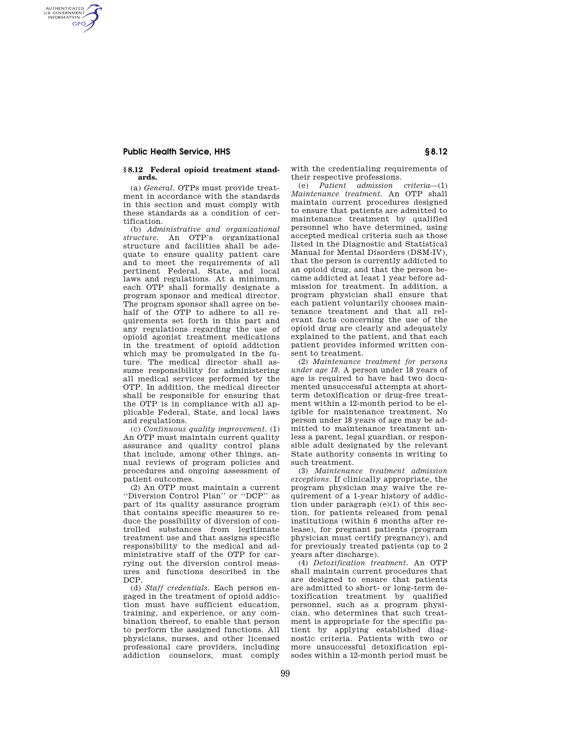## **Public Health Service, HHS § 8.12**

AUTHENTICATED<br>U.S. GOVERNMENT<br>INFORMATION **GPO** 

### **§ 8.12 Federal opioid treatment standards.**

(a) *General.* OTPs must provide treatment in accordance with the standards in this section and must comply with these standards as a condition of certification.

(b) *Administrative and organizational structure.* An OTP's organizational structure and facilities shall be adequate to ensure quality patient care and to meet the requirements of all pertinent Federal, State, and local laws and regulations. At a minimum, each OTP shall formally designate a program sponsor and medical director. The program sponsor shall agree on behalf of the OTP to adhere to all requirements set forth in this part and any regulations regarding the use of opioid agonist treatment medications in the treatment of opioid addiction which may be promulgated in the future. The medical director shall assume responsibility for administering all medical services performed by the OTP. In addition, the medical director shall be responsible for ensuring that the OTP is in compliance with all applicable Federal, State, and local laws and regulations.

(c) *Continuous quality improvement.* (1) An OTP must maintain current quality assurance and quality control plans that include, among other things, annual reviews of program policies and procedures and ongoing assessment of patient outcomes.

(2) An OTP must maintain a current ''Diversion Control Plan'' or ''DCP'' as part of its quality assurance program that contains specific measures to reduce the possibility of diversion of controlled substances from legitimate treatment use and that assigns specific responsibility to the medical and administrative staff of the OTP for carrying out the diversion control measures and functions described in the DCP.

(d) *Staff credentials.* Each person engaged in the treatment of opioid addiction must have sufficient education, training, and experience, or any combination thereof, to enable that person to perform the assigned functions. All physicians, nurses, and other licensed professional care providers, including addiction counselors, must comply with the credentialing requirements of their respective professions.

(e) *Patient admission criteria*—(1) *Maintenance treatment.* An OTP shall maintain current procedures designed to ensure that patients are admitted to maintenance treatment by qualified personnel who have determined, using accepted medical criteria such as those listed in the Diagnostic and Statistical Manual for Mental Disorders (DSM-IV), that the person is currently addicted to an opioid drug, and that the person became addicted at least 1 year before admission for treatment. In addition, a program physician shall ensure that each patient voluntarily chooses maintenance treatment and that all relevant facts concerning the use of the opioid drug are clearly and adequately explained to the patient, and that each patient provides informed written consent to treatment.

(2) *Maintenance treatment for persons under age 18.* A person under 18 years of age is required to have had two documented unsuccessful attempts at shortterm detoxification or drug-free treatment within a 12-month period to be eligible for maintenance treatment. No person under 18 years of age may be admitted to maintenance treatment unless a parent, legal guardian, or responsible adult designated by the relevant State authority consents in writing to such treatment.

(3) *Maintenance treatment admission exceptions.* If clinically appropriate, the program physician may waive the requirement of a 1-year history of addiction under paragraph (e)(1) of this section, for patients released from penal institutions (within 6 months after release), for pregnant patients (program physician must certify pregnancy), and for previously treated patients (up to 2 years after discharge).

(4) *Detoxification treatment.* An OTP shall maintain current procedures that are designed to ensure that patients are admitted to short- or long-term detoxification treatment by qualified personnel, such as a program physician, who determines that such treatment is appropriate for the specific patient by applying established diagnostic criteria. Patients with two or more unsuccessful detoxification episodes within a 12-month period must be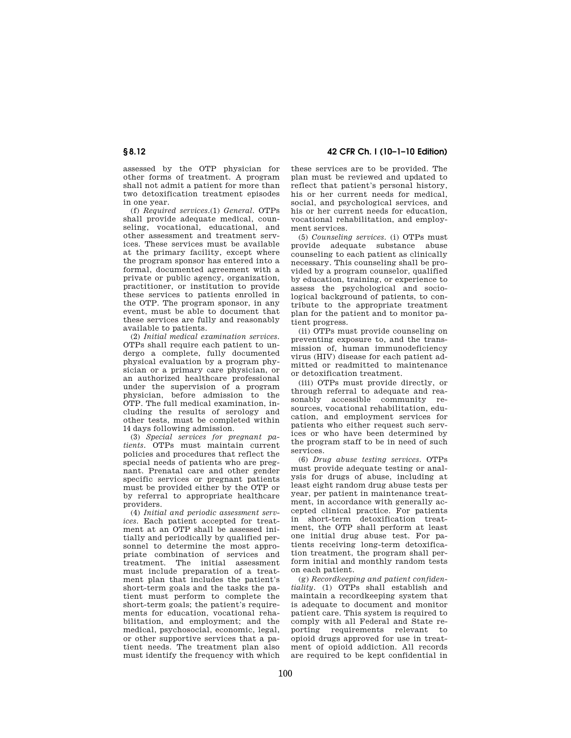assessed by the OTP physician for other forms of treatment. A program shall not admit a patient for more than two detoxification treatment episodes in one year.

(f) *Required services.*(1) *General.* OTPs shall provide adequate medical, counseling, vocational, educational, and other assessment and treatment services. These services must be available at the primary facility, except where the program sponsor has entered into a formal, documented agreement with a private or public agency, organization, practitioner, or institution to provide these services to patients enrolled in the OTP. The program sponsor, in any event, must be able to document that these services are fully and reasonably available to patients.

(2) *Initial medical examination services.*  OTPs shall require each patient to undergo a complete, fully documented physical evaluation by a program physician or a primary care physician, or an authorized healthcare professional under the supervision of a program physician, before admission to the OTP. The full medical examination, including the results of serology and other tests, must be completed within 14 days following admission.

(3) *Special services for pregnant patients.* OTPs must maintain current policies and procedures that reflect the special needs of patients who are pregnant. Prenatal care and other gender specific services or pregnant patients must be provided either by the OTP or by referral to appropriate healthcare providers.

(4) *Initial and periodic assessment services.* Each patient accepted for treatment at an OTP shall be assessed initially and periodically by qualified personnel to determine the most appropriate combination of services and treatment. The initial assessment must include preparation of a treatment plan that includes the patient's short-term goals and the tasks the patient must perform to complete the short-term goals; the patient's requirements for education, vocational rehabilitation, and employment; and the medical, psychosocial, economic, legal, or other supportive services that a patient needs. The treatment plan also must identify the frequency with which

**§ 8.12 42 CFR Ch. I (10–1–10 Edition)** 

these services are to be provided. The plan must be reviewed and updated to reflect that patient's personal history, his or her current needs for medical, social, and psychological services, and his or her current needs for education, vocational rehabilitation, and employment services.

(5) *Counseling services.* (i) OTPs must provide adequate substance abuse counseling to each patient as clinically necessary. This counseling shall be provided by a program counselor, qualified by education, training, or experience to assess the psychological and sociological background of patients, to contribute to the appropriate treatment plan for the patient and to monitor patient progress.

(ii) OTPs must provide counseling on preventing exposure to, and the transmission of, human immunodeficiency virus (HIV) disease for each patient admitted or readmitted to maintenance or detoxification treatment.

(iii) OTPs must provide directly, or through referral to adequate and reasonably accessible community resources, vocational rehabilitation, education, and employment services for patients who either request such services or who have been determined by the program staff to be in need of such services.

(6) *Drug abuse testing services.* OTPs must provide adequate testing or analysis for drugs of abuse, including at least eight random drug abuse tests per year, per patient in maintenance treatment, in accordance with generally accepted clinical practice. For patients in short-term detoxification treatment, the OTP shall perform at least one initial drug abuse test. For patients receiving long-term detoxification treatment, the program shall perform initial and monthly random tests on each patient.

(g) *Recordkeeping and patient confidentiality.* (1) OTPs shall establish and maintain a recordkeeping system that is adequate to document and monitor patient care. This system is required to comply with all Federal and State reporting requirements relevant to opioid drugs approved for use in treatment of opioid addiction. All records are required to be kept confidential in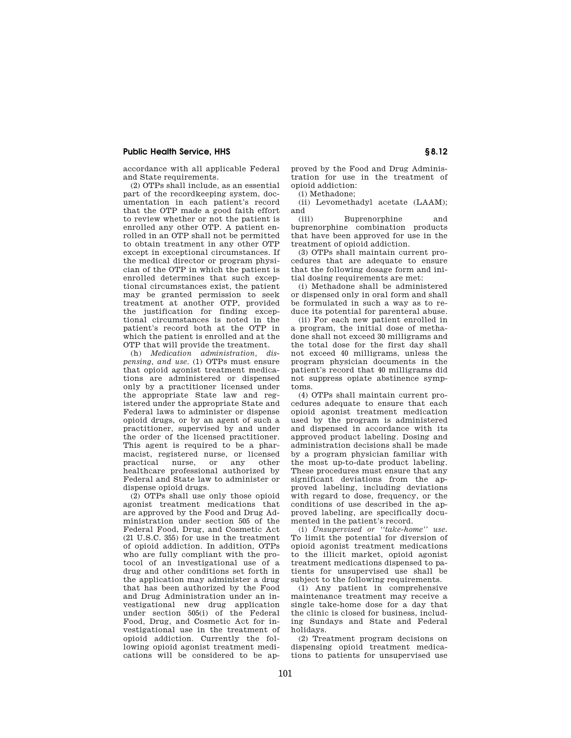## **Public Health Service, HHS § 8.12**

accordance with all applicable Federal and State requirements.

(2) OTPs shall include, as an essential part of the recordkeeping system, documentation in each patient's record that the OTP made a good faith effort to review whether or not the patient is enrolled any other OTP. A patient enrolled in an OTP shall not be permitted to obtain treatment in any other OTP except in exceptional circumstances. If the medical director or program physician of the OTP in which the patient is enrolled determines that such exceptional circumstances exist, the patient may be granted permission to seek treatment at another OTP, provided the justification for finding exceptional circumstances is noted in the patient's record both at the OTP in which the patient is enrolled and at the OTP that will provide the treatment.

(h) *Medication administration, dispensing, and use.* (1) OTPs must ensure that opioid agonist treatment medications are administered or dispensed only by a practitioner licensed under the appropriate State law and registered under the appropriate State and Federal laws to administer or dispense opioid drugs, or by an agent of such a practitioner, supervised by and under the order of the licensed practitioner. This agent is required to be a pharmacist, registered nurse, or licensed<br>practical nurse, or any other practical nurse, or any other healthcare professional authorized by Federal and State law to administer or dispense opioid drugs.

(2) OTPs shall use only those opioid agonist treatment medications that are approved by the Food and Drug Administration under section 505 of the Federal Food, Drug, and Cosmetic Act (21 U.S.C. 355) for use in the treatment of opioid addiction. In addition, OTPs who are fully compliant with the protocol of an investigational use of a drug and other conditions set forth in the application may administer a drug that has been authorized by the Food and Drug Administration under an investigational new drug application under section 505(i) of the Federal Food, Drug, and Cosmetic Act for investigational use in the treatment of opioid addiction. Currently the following opioid agonist treatment medications will be considered to be approved by the Food and Drug Administration for use in the treatment of opioid addiction:

(i) Methadone;

(ii) Levomethadyl acetate (LAAM);  $\begin{array}{c}\n\text{and} \\
\text{(iii)}\n\end{array}$ 

Buprenorphine and buprenorphine combination products that have been approved for use in the treatment of opioid addiction.

(3) OTPs shall maintain current procedures that are adequate to ensure that the following dosage form and initial dosing requirements are met:

(i) Methadone shall be administered or dispensed only in oral form and shall be formulated in such a way as to reduce its potential for parenteral abuse.

(ii) For each new patient enrolled in a program, the initial dose of methadone shall not exceed 30 milligrams and the total dose for the first day shall not exceed 40 milligrams, unless the program physician documents in the patient's record that 40 milligrams did not suppress opiate abstinence symptoms.

(4) OTPs shall maintain current procedures adequate to ensure that each opioid agonist treatment medication used by the program is administered and dispensed in accordance with its approved product labeling. Dosing and administration decisions shall be made by a program physician familiar with the most up-to-date product labeling. These procedures must ensure that any significant deviations from the approved labeling, including deviations with regard to dose, frequency, or the conditions of use described in the approved labeling, are specifically documented in the patient's record.

(i) *Unsupervised or ''take-home'' use.*  To limit the potential for diversion of opioid agonist treatment medications to the illicit market, opioid agonist treatment medications dispensed to patients for unsupervised use shall be subject to the following requirements.

(1) Any patient in comprehensive maintenance treatment may receive a single take-home dose for a day that the clinic is closed for business, including Sundays and State and Federal holidays.

(2) Treatment program decisions on dispensing opioid treatment medications to patients for unsupervised use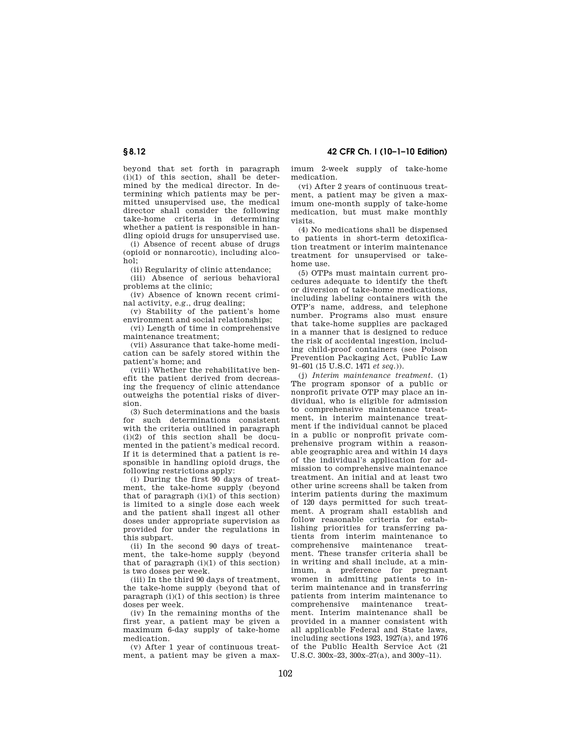# **§ 8.12 42 CFR Ch. I (10–1–10 Edition)**

beyond that set forth in paragraph  $(i)(1)$  of this section, shall be determined by the medical director. In determining which patients may be permitted unsupervised use, the medical director shall consider the following take-home criteria in determining whether a patient is responsible in handling opioid drugs for unsupervised use.

(i) Absence of recent abuse of drugs (opioid or nonnarcotic), including alcohol;

(ii) Regularity of clinic attendance;

(iii) Absence of serious behavioral problems at the clinic;

(iv) Absence of known recent criminal activity, e.g., drug dealing;

(v) Stability of the patient's home environment and social relationships;

(vi) Length of time in comprehensive maintenance treatment;

(vii) Assurance that take-home medication can be safely stored within the patient's home; and

(viii) Whether the rehabilitative benefit the patient derived from decreasing the frequency of clinic attendance outweighs the potential risks of diversion.

(3) Such determinations and the basis for such determinations consistent with the criteria outlined in paragraph  $(i)(2)$  of this section shall be documented in the patient's medical record. If it is determined that a patient is responsible in handling opioid drugs, the following restrictions apply:

(i) During the first 90 days of treatment, the take-home supply (beyond that of paragraph  $(i)(1)$  of this section) is limited to a single dose each week and the patient shall ingest all other doses under appropriate supervision as provided for under the regulations in .<br>this subpart.

(ii) In the second 90 days of treatment, the take-home supply (beyond that of paragraph  $(i)(1)$  of this section) is two doses per week.

(iii) In the third 90 days of treatment, the take-home supply (beyond that of paragraph  $(i)(1)$  of this section) is three doses per week.

(iv) In the remaining months of the first year, a patient may be given a maximum 6-day supply of take-home medication.

(v) After 1 year of continuous treatment, a patient may be given a maximum 2-week supply of take-home medication.

(vi) After 2 years of continuous treatment, a patient may be given a maximum one-month supply of take-home medication, but must make monthly visits.

(4) No medications shall be dispensed to patients in short-term detoxification treatment or interim maintenance treatment for unsupervised or takehome use.

(5) OTPs must maintain current procedures adequate to identify the theft or diversion of take-home medications, including labeling containers with the OTP's name, address, and telephone number. Programs also must ensure that take-home supplies are packaged in a manner that is designed to reduce the risk of accidental ingestion, including child-proof containers (see Poison Prevention Packaging Act, Public Law 91–601 (15 U.S.C. 1471 *et seq.*)).

(j) *Interim maintenance treatment.* (1) The program sponsor of a public or nonprofit private OTP may place an individual, who is eligible for admission to comprehensive maintenance treatment, in interim maintenance treatment if the individual cannot be placed in a public or nonprofit private comprehensive program within a reasonable geographic area and within 14 days of the individual's application for admission to comprehensive maintenance treatment. An initial and at least two other urine screens shall be taken from interim patients during the maximum of 120 days permitted for such treatment. A program shall establish and follow reasonable criteria for establishing priorities for transferring patients from interim maintenance to comprehensive maintenance treatment. These transfer criteria shall be in writing and shall include, at a minimum, a preference for pregnant women in admitting patients to interim maintenance and in transferring patients from interim maintenance to comprehensive maintenance treatment. Interim maintenance shall be provided in a manner consistent with all applicable Federal and State laws, including sections 1923, 1927(a), and 1976 of the Public Health Service Act (21 U.S.C. 300x–23, 300x–27(a), and 300y–11).